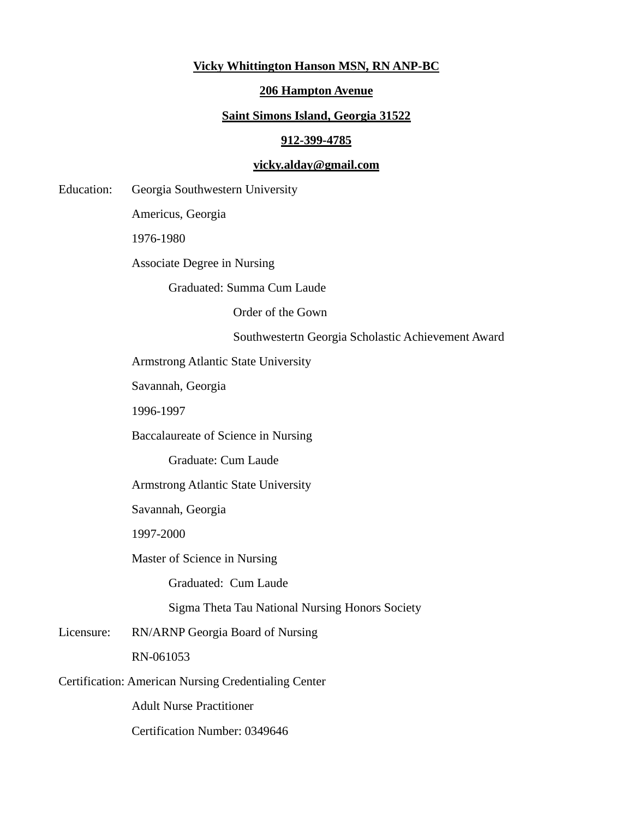## **Vicky Whittington Hanson MSN, RN ANP-BC**

### **206 Hampton Avenue**

#### **Saint Simons Island, Georgia 31522**

#### **912-399-4785**

# **vicky.alday@gmail.com**

Education: Georgia Southwestern University

Americus, Georgia

1976-1980

Associate Degree in Nursing

Graduated: Summa Cum Laude

Order of the Gown

Southwestertn Georgia Scholastic Achievement Award

Armstrong Atlantic State University

Savannah, Georgia

1996-1997

Baccalaureate of Science in Nursing

Graduate: Cum Laude

Armstrong Atlantic State University

Savannah, Georgia

1997-2000

Master of Science in Nursing

Graduated: Cum Laude

Sigma Theta Tau National Nursing Honors Society

Licensure: RN/ARNP Georgia Board of Nursing

RN-061053

Certification: American Nursing Credentialing Center

Adult Nurse Practitioner

Certification Number: 0349646